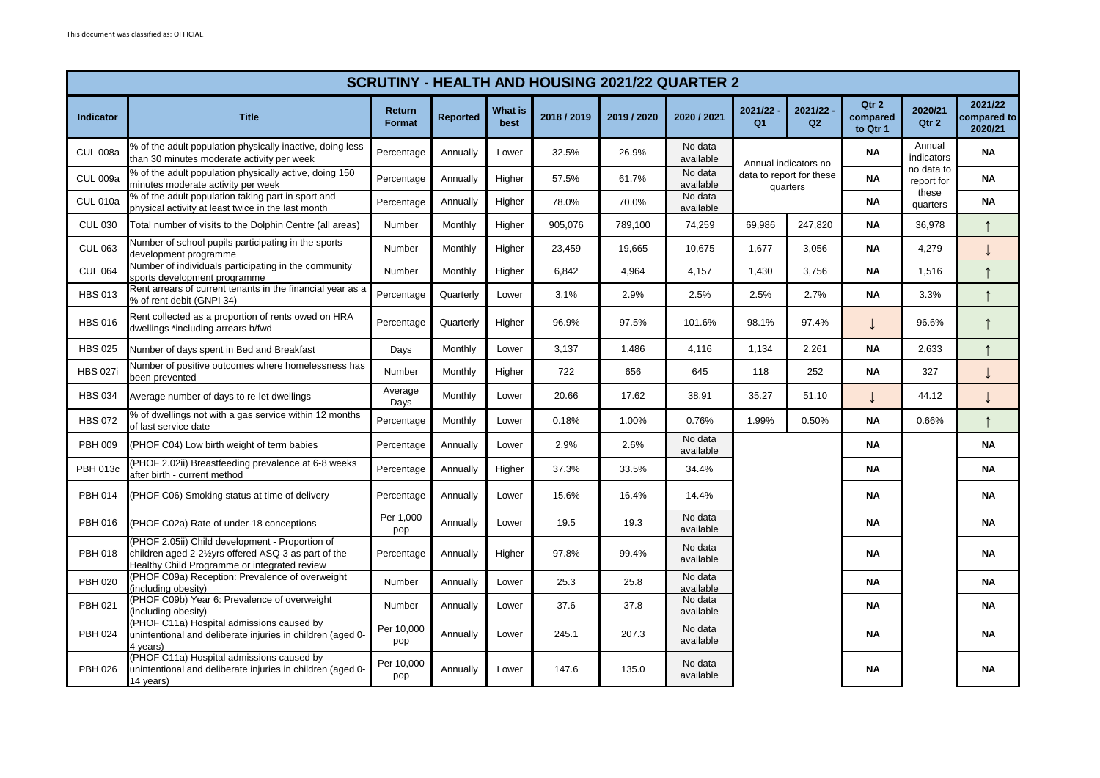| <b>SCRUTINY - HEALTH AND HOUSING 2021/22 QUARTER 2</b> |                                                                                                                                                         |                         |                 |                        |             |             |                      |                                                              |                           |                               |                          |                                   |           |                      |           |
|--------------------------------------------------------|---------------------------------------------------------------------------------------------------------------------------------------------------------|-------------------------|-----------------|------------------------|-------------|-------------|----------------------|--------------------------------------------------------------|---------------------------|-------------------------------|--------------------------|-----------------------------------|-----------|----------------------|-----------|
| <b>Indicator</b>                                       | <b>Title</b>                                                                                                                                            | Return<br><b>Format</b> | <b>Reported</b> | <b>What is</b><br>best | 2018 / 2019 | 2019 / 2020 | 2020 / 2021          | 2021/22<br>Q <sub>1</sub>                                    | 2021/22<br>Q <sub>2</sub> | Qtr 2<br>compared<br>to Qtr 1 | 2020/21<br>Qtr 2         | 2021/22<br>compared to<br>2020/21 |           |                      |           |
| <b>CUL 008a</b>                                        | % of the adult population physically inactive, doing less<br>than 30 minutes moderate activity per week                                                 | Percentage              | Annually        | Lower                  | 32.5%       | 26.9%       | No data<br>available | Annual indicators no<br>data to report for these<br>quarters |                           |                               |                          |                                   | <b>NA</b> | Annual<br>indicators | <b>NA</b> |
| <b>CUL 009a</b>                                        | % of the adult population physically active, doing 150<br>minutes moderate activity per week                                                            | Percentage              | Annually        | Higher                 | 57.5%       | 61.7%       | No data<br>available |                                                              |                           | <b>NA</b>                     | no data to<br>report for | <b>NA</b>                         |           |                      |           |
| <b>CUL 010a</b>                                        | % of the adult population taking part in sport and<br>physical activity at least twice in the last month                                                | Percentage              | Annually        | Higher                 | 78.0%       | 70.0%       | No data<br>available |                                                              |                           | <b>NA</b>                     | these<br>quarters        | <b>NA</b>                         |           |                      |           |
| <b>CUL 030</b>                                         | Total number of visits to the Dolphin Centre (all areas)                                                                                                | Number                  | Monthly         | Higher                 | 905.076     | 789.100     | 74,259               | 69.986                                                       | 247.820                   | <b>NA</b>                     | 36.978                   |                                   |           |                      |           |
| <b>CUL 063</b>                                         | Number of school pupils participating in the sports<br>development programme                                                                            | Number                  | Monthly         | Higher                 | 23.459      | 19,665      | 10.675               | 1,677                                                        | 3,056                     | <b>NA</b>                     | 4,279                    |                                   |           |                      |           |
| <b>CUL 064</b>                                         | Number of individuals participating in the community<br>sports development programme                                                                    | Number                  | Monthly         | Higher                 | 6,842       | 4,964       | 4,157                | 1,430                                                        | 3,756                     | <b>NA</b>                     | 1,516                    |                                   |           |                      |           |
| <b>HBS 013</b>                                         | Rent arrears of current tenants in the financial year as a<br>% of rent debit (GNPI 34)                                                                 | Percentage              | Quarterly       | Lower                  | 3.1%        | 2.9%        | 2.5%                 | 2.5%                                                         | 2.7%                      | <b>NA</b>                     | 3.3%                     |                                   |           |                      |           |
| <b>HBS 016</b>                                         | Rent collected as a proportion of rents owed on HRA<br>dwellings *including arrears b/fwd                                                               | Percentage              | Quarterly       | Higher                 | 96.9%       | 97.5%       | 101.6%               | 98.1%                                                        | 97.4%                     |                               | 96.6%                    |                                   |           |                      |           |
| <b>HBS 025</b>                                         | Number of days spent in Bed and Breakfast                                                                                                               | Days                    | Monthly         | Lower                  | 3,137       | 1,486       | 4,116                | 1,134                                                        | 2,261                     | <b>NA</b>                     | 2,633                    |                                   |           |                      |           |
| <b>HBS 027i</b>                                        | Number of positive outcomes where homelessness has<br>been prevented                                                                                    | Number                  | Monthly         | Higher                 | 722         | 656         | 645                  | 118                                                          | 252                       | <b>NA</b>                     | 327                      |                                   |           |                      |           |
| <b>HBS 034</b>                                         | Average number of days to re-let dwellings                                                                                                              | Average<br>Days         | Monthly         | Lower                  | 20.66       | 17.62       | 38.91                | 35.27                                                        | 51.10                     |                               | 44.12                    |                                   |           |                      |           |
| <b>HBS 072</b>                                         | % of dwellings not with a gas service within 12 months<br>of last service date                                                                          | Percentage              | Monthly         | Lower                  | 0.18%       | 1.00%       | 0.76%                | 1.99%                                                        | 0.50%                     | <b>NA</b>                     | 0.66%                    | $\uparrow$                        |           |                      |           |
| <b>PBH 009</b>                                         | (PHOF C04) Low birth weight of term babies                                                                                                              | Percentage              | Annually        | Lower                  | 2.9%        | 2.6%        | No data<br>available |                                                              |                           | <b>NA</b>                     |                          | <b>NA</b>                         |           |                      |           |
| <b>PBH 013c</b>                                        | (PHOF 2.02ii) Breastfeeding prevalence at 6-8 weeks<br>after birth - current method                                                                     | Percentage              | Annually        | Higher                 | 37.3%       | 33.5%       | 34.4%                |                                                              |                           | <b>NA</b>                     |                          | <b>NA</b>                         |           |                      |           |
| <b>PBH 014</b>                                         | (PHOF C06) Smoking status at time of delivery                                                                                                           | Percentage              | Annually        | Lower                  | 15.6%       | 16.4%       | 14.4%                |                                                              |                           | <b>NA</b>                     |                          | <b>NA</b>                         |           |                      |           |
| PBH 016                                                | (PHOF C02a) Rate of under-18 conceptions                                                                                                                | Per 1,000<br>pop        | Annually        | Lower                  | 19.5        | 19.3        | No data<br>available |                                                              |                           | NA                            |                          | <b>NA</b>                         |           |                      |           |
| <b>PBH 018</b>                                         | (PHOF 2.05ii) Child development - Proportion of<br>children aged 2-21/2yrs offered ASQ-3 as part of the<br>Healthy Child Programme or integrated review | Percentage              | Annually        | Higher                 | 97.8%       | 99.4%       | No data<br>available |                                                              |                           | <b>NA</b>                     |                          | <b>NA</b>                         |           |                      |           |
| <b>PBH 020</b>                                         | (PHOF C09a) Reception: Prevalence of overweight<br>(including obesity)                                                                                  | Number                  | Annually        | Lower                  | 25.3        | 25.8        | No data<br>available |                                                              |                           | <b>NA</b>                     |                          | <b>NA</b>                         |           |                      |           |
| PBH 021                                                | (PHOF C09b) Year 6: Prevalence of overweight<br>(including obesity)                                                                                     | Number                  | Annually        | Lower                  | 37.6        | 37.8        | No data<br>available |                                                              |                           | ΝA                            |                          | ΝA                                |           |                      |           |
| PBH 024                                                | (PHOF C11a) Hospital admissions caused by<br>unintentional and deliberate injuries in children (aged 0-<br>4 years)                                     | Per 10,000<br>pop       | Annually        | Lower                  | 245.1       | 207.3       | No data<br>available |                                                              |                           | <b>NA</b>                     |                          | <b>NA</b>                         |           |                      |           |
| <b>PBH 026</b>                                         | (PHOF C11a) Hospital admissions caused by<br>unintentional and deliberate injuries in children (aged 0-<br>14 years)                                    | Per 10,000<br>pop       | Annually        | Lower                  | 147.6       | 135.0       | No data<br>available |                                                              |                           | NA                            |                          | <b>NA</b>                         |           |                      |           |